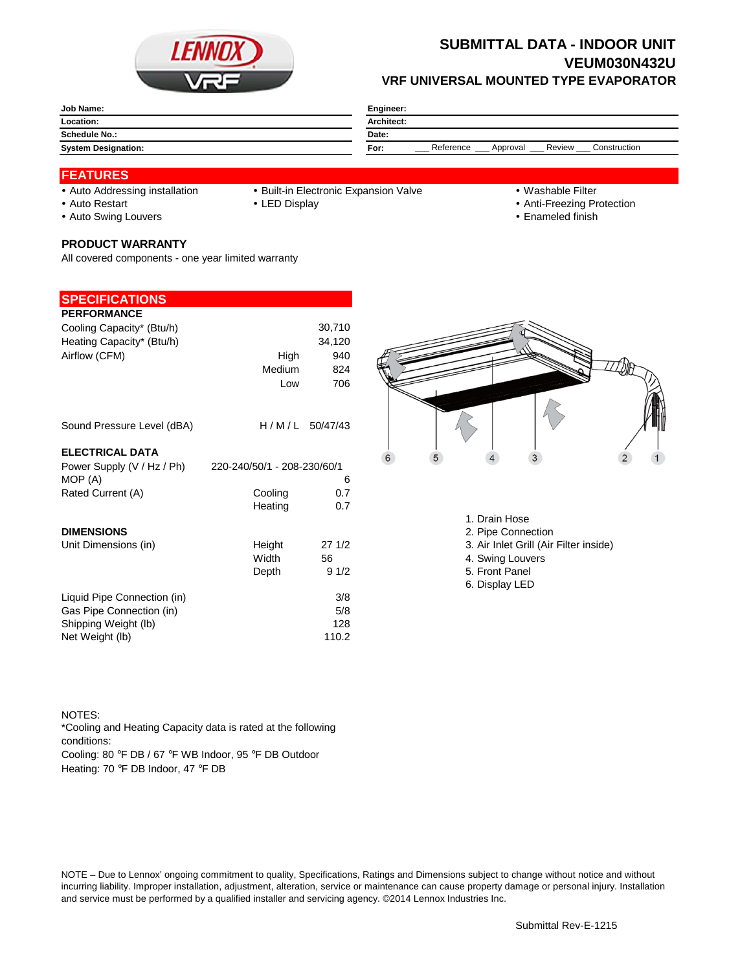

# **VRF UNIVERSAL MOUNTED TYPE EVAPORATOR SUBMITTAL DATA - INDOOR UNIT VEUM030N432U**

| Job Name:                  | Engineer:                                               |  |  |
|----------------------------|---------------------------------------------------------|--|--|
| Location:                  | Architect:                                              |  |  |
| <b>Schedule No.:</b>       | Date:                                                   |  |  |
| <b>System Designation:</b> | Reference<br>Review<br>Construction<br>For:<br>Approval |  |  |

## **FEATURES**

- 
- Auto Addressing installation Built-in Electronic Expansion Valve Washable Filter
	-
- Auto Restart **LED Display Community Auto Restart Auto Restart Community Community Community Community Community Community Community Community Community Community Community Community Community Community Community Communit** 
	-
- 
- Auto Swing Louvers **Enameled finish**

### **PRODUCT WARRANTY**

All covered components - one year limited warranty

# **SPECIFICATIONS**

| <b>PERFORMANCE</b>          |                             |                  |
|-----------------------------|-----------------------------|------------------|
| Cooling Capacity* (Btu/h)   |                             | 30,710           |
| Heating Capacity* (Btu/h)   |                             | 34,120           |
| Airflow (CFM)               | High                        | 940              |
|                             | Medium                      | 824              |
|                             | Low                         | 706              |
| Sound Pressure Level (dBA)  |                             | $H/M/L$ 50/47/43 |
| <b>ELECTRICAL DATA</b>      |                             |                  |
| Power Supply (V / Hz / Ph)  | 220-240/50/1 - 208-230/60/1 |                  |
| MOP (A)                     |                             | 6                |
| Rated Current (A)           | Cooling                     | 0.7              |
|                             | Heating                     | 0.7              |
| <b>DIMENSIONS</b>           |                             |                  |
| Unit Dimensions (in)        | Height                      | 271/2            |
|                             | Width                       | 56               |
|                             | Depth                       | 91/2             |
| Liquid Pipe Connection (in) |                             | 3/8              |
| Gas Pipe Connection (in)    |                             | 5/8              |
| Shipping Weight (lb)        |                             | 128              |
| Net Weight (lb)             |                             | 110.2            |



- 1. Drain Hose
- 2. Pipe Connection
- 3. Air Inlet Grill (Air Filter inside)
- 4. Swing Louvers
- 5. Front Panel
- 6. Display LED

#### NOTES:

Cooling: 80 °F DB / 67 °F WB Indoor, 95 °F DB Outdoor \*Cooling and Heating Capacity data is rated at the following conditions:

Heating: 70 °F DB Indoor, 47 °F DB

NOTE – Due to Lennox' ongoing commitment to quality, Specifications, Ratings and Dimensions subject to change without notice and without incurring liability. Improper installation, adjustment, alteration, service or maintenance can cause property damage or personal injury. Installation and service must be performed by a qualified installer and servicing agency. ©2014 Lennox Industries Inc.